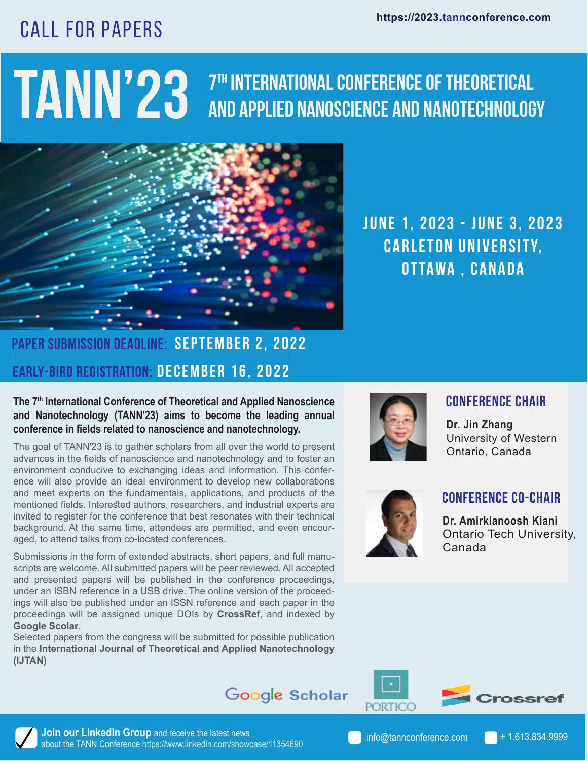# CALL FOR PAPERS

### **TANN'23 7th International Conference of Theoretical and Applied Nanoscience and Nanotechnology**



**JUNE 1, 2023 - JUNE 3, 2023 CARLETON UNIVERSITY, Ottawa , Canada**

## **Early-Bird Registration: December 16, 2022 Paper Submission Deadline: September 2, 2022**

#### **The 7th International Conference of Theoretical and Applied Nanoscience and Nanotechnology (TANN'23) aims to become the leading annual conference in fields related to nanoscience and nanotechnology.**

The goal of TANN'23 is to gather scholars from all over the world to present advances in the fields of nanoscience and nanotechnology and to foster an environment conducive to exchanging ideas and information. This conference will also provide an ideal environment to develop new collaborations and meet experts on the fundamentals, applications, and products of the mentioned fields. Interested authors, researchers, and industrial experts are invited to register for the conference that best resonates with their technical background. At the same time, attendees are permitted, and even encouraged, to attend talks from co-located conferences.

Submissions in the form of extended abstracts, short papers, and full manuscripts are welcome. All submitted papers will be peer reviewed. All accepted and presented papers will be published in the conference proceedings, under an ISBN reference in a USB drive. The online version of the proceedings will also be published under an ISSN reference and each paper in the proceedings will be assigned unique DOIs by **CrossRef**, and indexed by **Google Scolar**.

Selected papers from the congress will be submitted for possible publication in the **International Journal of Theoretical and Applied Nanotechnology (IJTAN)** 



#### **Conference Chair**

**Dr. Jin Zhang** University of Western Ontario, Canada



#### **Conference Co-Chair**

**Dr. Amirkianoosh Kiani** Ontario Tech University, Canada